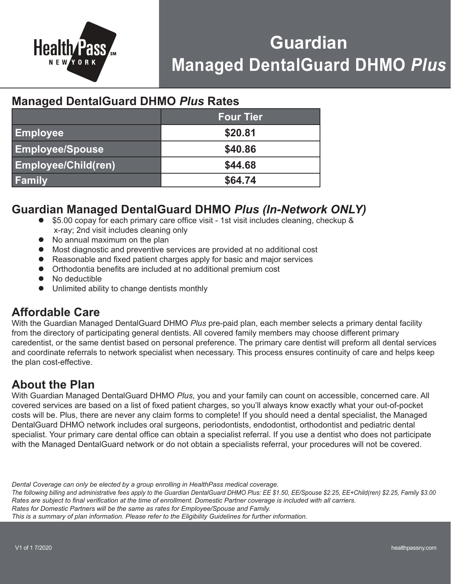

# **Guardian Managed DentalGuard DHMO** *Plus*

# **Managed DentalGuard DHMO** *Plus* **Rates**

|                            | <b>Four Tier</b> |
|----------------------------|------------------|
| <b>Employee</b>            | \$20.81          |
| <b>Employee/Spouse</b>     | \$40.86          |
| <b>Employee/Child(ren)</b> | \$44.68          |
| <b>Family</b>              | \$64.74          |

# **Guardian Managed DentalGuard DHMO** *Plus (In-Network ONLY)*

- $\bullet$  \$5.00 copay for each primary care office visit 1st visit includes cleaning, checkup & x-ray; 2nd visit includes cleaning only
- No annual maximum on the plan
- $\bullet$  Most diagnostic and preventive services are provided at no additional cost
- Reasonable and fixed patient charges apply for basic and major services
- Orthodontia benefits are included at no additional premium cost
- $\bullet$  No deductible
- Unlimited ability to change dentists monthly

# **Affordable Care**

With the Guardian Managed DentalGuard DHMO *Plus* pre-paid plan, each member selects a primary dental facility from the directory of participating general dentists. All covered family members may choose different primary caredentist, or the same dentist based on personal preference. The primary care dentist will preform all dental services and coordinate referrals to network specialist when necessary. This process ensures continuity of care and helps keep the plan cost-effective.

# **About the Plan**

With Guardian Managed DentalGuard DHMO *Plus*, you and your family can count on accessible, concerned care. All covered services are based on a list of fixed patient charges, so you'll always know exactly what your out-of-pocket costs will be. Plus, there are never any claim forms to complete! If you should need a dental specialist, the Managed DentalGuard DHMO network includes oral surgeons, periodontists, endodontist, orthodontist and pediatric dental specialist. Your primary care dental office can obtain a specialist referral. If you use a dentist who does not participate with the Managed DentalGuard network or do not obtain a specialists referral, your procedures will not be covered.

*Dental Coverage can only be elected by a group enrolling in HealthPass medical coverage.* 

*The following billing and administrative fees apply to the Guardian DentalGuard DHMO Plus: EE \$1.50, EE/Spouse \$2.25, EE+Child(ren) \$2.25, Family \$3.00 Rates are subject to final verification at the time of enrollment. Domestic Partner coverage is included with all carriers. Rates for Domestic Partners will be the same as rates for Employee/Spouse and Family.* 

*This is a summary of plan information. Please refer to the Eligibility Guidelines for further information.*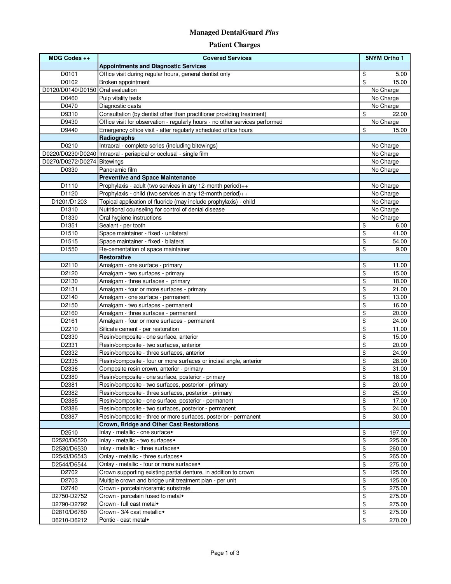### **Managed DentalGuard** *Plus*

#### **Patient Charges**

| MDG Codes ++                      | <b>Covered Services</b>                                                      | <b>5NYM Ortho 1</b> |
|-----------------------------------|------------------------------------------------------------------------------|---------------------|
|                                   | <b>Appointments and Diagnostic Services</b>                                  |                     |
| D0101                             | Office visit during regular hours, general dentist only                      | \$<br>5.00          |
| D0102                             | Broken appointment                                                           | \$<br>15.00         |
| D0120/D0140/D0150 Oral evaluation |                                                                              | No Charge           |
| D0460                             | Pulp vitality tests                                                          | No Charge           |
| D0470                             | Diagnostic casts                                                             | No Charge           |
| D9310                             | Consultation (by dentist other than practitioner providing treatment)        | \$<br>22.00         |
| D9430                             | Office visit for observation - regularly hours - no other services performed | No Charge           |
| D9440                             | Emergency office visit - after regularly scheduled office hours              | \$<br>15.00         |
|                                   | Radiographs                                                                  |                     |
| D0210                             | Intraoral - complete series (including bitewings)                            | No Charge           |
|                                   | D0220/D0230/D0240 Intraoral - periapical or occlusal - single film           | No Charge           |
| D0270/D0272/D0274 Bitewings       |                                                                              | No Charge           |
| D0330                             | Panoramic film                                                               | No Charge           |
|                                   | <b>Preventive and Space Maintenance</b>                                      |                     |
| D1110                             | Prophylaxis - adult (two services in any 12-month period) $++$               | No Charge           |
| D1120                             | Prophylaxis - child (two services in any 12-month period)++                  | No Charge           |
| D1201/D1203                       | Topical application of fluoride (may include prophylaxis) - child            | No Charge           |
| D1310                             | Nutritional counseling for control of dental disease                         | No Charge           |
| D1330                             | Oral hygiene instructions                                                    | No Charge           |
| D1351                             | Sealant - per tooth                                                          | \$<br>6.00          |
| D1510                             | Space maintainer - fixed - unilateral                                        | \$<br>41.00         |
| D1515                             | Space maintainer - fixed - bilateral                                         | \$<br>54.00         |
| D <sub>1550</sub>                 | Re-cementation of space maintainer                                           | \$<br>9.00          |
|                                   | <b>Restorative</b>                                                           |                     |
| D2110                             | Amalgam - one surface - primary                                              | \$<br>11.00         |
| D2120                             | Amalgam - two surfaces - primary                                             | \$<br>15.00         |
| D2130                             | Amalgam - three surfaces - primary                                           | \$<br>18.00         |
| D2131                             | Amalgam - four or more surfaces - primary                                    | \$<br>21.00         |
| D2140                             | Amalgam - one surface - permanent                                            | \$<br>13.00         |
| D2150                             | Amalgam - two surfaces - permanent                                           | \$<br>16.00         |
| D2160                             | Amalgam - three surfaces - permanent                                         | \$<br>20.00         |
| D2161                             | Amalgam - four or more surfaces - permanent                                  | \$<br>24.00         |
| D2210                             | Silicate cement - per restoration                                            | \$<br>11.00         |
| D2330                             | Resin/composite - one surface, anterior                                      | \$<br>15.00         |
| D2331                             | Resin/composite - two surfaces, anterior                                     | \$<br>20.00         |
| D2332                             | Resin/composite - three surfaces, anterior                                   | \$<br>24.00         |
| D2335                             | Resin/composite - four or more surfaces or incisal angle, anterior           | \$<br>28.00         |
| D2336                             | Composite resin crown, anterior - primary                                    | \$<br>31.00         |
| D2380                             | Resin/composite - one surface, posterior - primary                           | \$<br>18.00         |
| D2381                             | Resin/composite - two surfaces, posterior - primary                          | \$<br>20.00         |
| D2382                             | Resin/composite - three surfaces, posterior - primary                        | \$<br>25.00         |
| D2385                             | Resin/composite - one surface, posterior - permanent                         | \$<br>17.00         |
| D2386                             | Resin/composite - two surfaces, posterior - permanent                        | \$<br>24.00         |
| D2387                             | Resin/composite - three or more surfaces, posterior - permanent              | \$<br>30.00         |
|                                   | <b>Crown, Bridge and Other Cast Restorations</b>                             |                     |
| D2510                             | Inlay - metallic - one surface <sup>*</sup>                                  | \$<br>197.00        |
| D2520/D6520                       | Inlay - metallic - two surfaces •                                            | \$<br>225.00        |
| D2530/D6530                       | Inlay - metallic - three surfaces •                                          | \$<br>260.00        |
| D2543/D6543                       | Onlay - metallic - three surfaces •                                          | \$<br>265.00        |
|                                   | Onlay - metallic - four or more surfaces •                                   | \$                  |
| D2544/D6544                       |                                                                              | 275.00<br>\$        |
| D2702                             | Crown supporting existing partial denture, in addition to crown              | 125.00<br>\$        |
| D2703                             | Multiple crown and bridge unit treatment plan - per unit                     | 125.00              |
| D2740                             | Crown - porcelain/ceramic substrate                                          | \$<br>275.00        |
| D2750-D2752                       | Crown - porcelain fused to metal*                                            | \$<br>275.00        |
| D2790-D2792                       | Crown - full cast metal*                                                     | \$<br>275.00        |
| D2810/D6780                       | Crown - 3/4 cast metallic+                                                   | \$<br>275.00        |
| D6210-D6212                       | Pontic - cast metal+                                                         | \$<br>270.00        |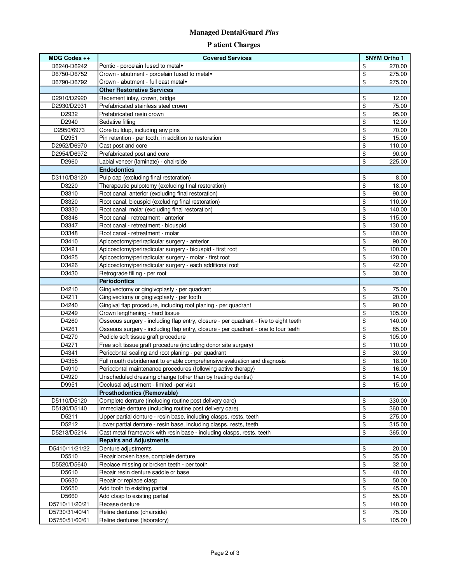### **Managed DentalGuard** *Plus*

### **P atient Charges**

| $MDG$ Codes $++$ | <b>Covered Services</b>                                                              | 5NYM Ortho 1 |        |
|------------------|--------------------------------------------------------------------------------------|--------------|--------|
| D6240-D6242      | Pontic - porcelain fused to metal*                                                   | \$           | 270.00 |
| D6750-D6752      | Crown - abutment - porcelain fused to metal*                                         | \$           | 275.00 |
| D6790-D6792      | Crown - abutment - full cast metal*                                                  | \$           | 275.00 |
|                  | <b>Other Restorative Services</b>                                                    |              |        |
| D2910/D2920      | Recement inlay, crown, bridge                                                        | \$           | 12.00  |
| D2930/D2931      | Prefabricated stainless steel crown                                                  | \$           | 75.00  |
| D2932            | Prefabricated resin crown                                                            | \$           | 95.00  |
| D2940            | Sedative filling                                                                     | \$           | 12.00  |
| D2950/6973       | Core buildup, including any pins                                                     | \$           | 70.00  |
| D2951            | Pin retention - per tooth, in addition to restoration                                | \$           | 15.00  |
| D2952/D6970      | Cast post and core                                                                   | \$           | 110.00 |
| D2954/D6972      | Prefabricated post and core                                                          | \$           | 90.00  |
| D2960            | Labial veneer (laminate) - chairside                                                 | \$           | 225.00 |
|                  | <b>Endodontics</b>                                                                   |              |        |
| D3110/D3120      | Pulp cap (excluding final restoration)                                               | \$           | 8.00   |
| D3220            | Therapeutic pulpotomy (excluding final restoration)                                  | \$           | 18.00  |
| D3310            | Root canal, anterior (excluding final restoration)                                   | \$           | 90.00  |
| D3320            | Root canal, bicuspid (excluding final restoration)                                   | \$           | 110.00 |
| D3330            | Root canal, molar (excluding final restoration)                                      | \$           | 140.00 |
| D3346            | Root canal - retreatment - anterior                                                  | \$           | 115.00 |
| D3347            | Root canal - retreatment - bicuspid                                                  | \$           | 130.00 |
| D3348            | Root canal - retreatment - molar                                                     | \$           | 160.00 |
| D3410            | Apicoectomy/periradicular surgery - anterior                                         | \$           | 90.00  |
| D3421            | Apicoectomy/periradicular surgery - bicuspid - first root                            | \$           | 100.00 |
| D3425            | Apicoectomy/periradicular surgery - molar - first root                               | \$           | 120.00 |
| D3426            | Apicoectomy/periradicular surgery - each additional root                             | \$<br>\$     | 42.00  |
| D3430            | Retrograde filling - per root<br><b>Periodontics</b>                                 |              | 30.00  |
| D4210            | Gingivectomy or gingivoplasty - per quadrant                                         | \$           | 75.00  |
| D4211            | Gingivectomy or gingivoplasty - per tooth                                            | \$           | 20.00  |
| D4240            | Gingival flap procedure, including root planing - per quadrant                       | \$           | 90.00  |
| D4249            | Crown lengthening - hard tissue                                                      | \$           | 105.00 |
| D4260            | Osseous surgery - including flap entry, closure - per quadrant - five to eight teeth | \$           | 140.00 |
| D4261            | Osseous surgery - including flap entry, closure - per quadrant - one to four teeth   | \$           | 85.00  |
| D4270            | Pedicle soft tissue graft procedure                                                  | \$           | 105.00 |
| D4271            | Free soft tissue graft procedure (including donor site surgery)                      | \$           | 110.00 |
| D4341            | Periodontal scaling and root planing - per quadrant                                  | \$           | 30.00  |
| D4355            | Full mouth debridement to enable comprehensive evaluation and diagnosis              | \$           | 18.00  |
| D4910            | Periodontal maintenance procedures (following active therapy)                        | \$           | 16.00  |
| D4920            | Unscheduled dressing change (other than by treating dentist)                         | \$           | 14.00  |
| D9951            | Occlusal adjustment - limited -per visit                                             | \$           | 15.00  |
|                  | <b>Prosthodontics (Removable)</b>                                                    |              |        |
| D5110/D5120      | Complete denture (including routine post delivery care)                              | \$           | 330.00 |
| D5130/D5140      | Immediate denture (including routine post delivery care)                             | \$           | 360.00 |
| D5211            | Upper partial denture - resin base, including clasps, rests, teeth                   | \$           | 275.00 |
| D5212            | Lower partial denture - resin base, including clasps, rests, teeth                   | \$           | 315.00 |
| D5213/D5214      | Cast metal framework with resin base - including clasps, rests, teeth                | \$           | 365.00 |
|                  | <b>Repairs and Adjustments</b>                                                       |              |        |
| D5410/11/21/22   | Denture adjustments                                                                  | \$           | 20.00  |
| D5510            | Repair broken base, complete denture                                                 | \$           | 35.00  |
| D5520/D5640      | Replace missing or broken teeth - per tooth                                          | \$           | 32.00  |
| D5610            | Repair resin denture saddle or base                                                  | \$           | 40.00  |
| D5630            | Repair or replace clasp                                                              | \$           | 50.00  |
| D5650            | Add tooth to existing partial                                                        | \$           | 45.00  |
| D5660            | Add clasp to existing partial                                                        | \$           | 55.00  |
| D5710/11/20/21   | Rebase denture                                                                       | \$           | 140.00 |
| D5730/31/40/41   | Reline dentures (chairside)                                                          | \$           | 75.00  |
| D5750/51/60/61   | Reline dentures (laboratory)                                                         | \$           | 105.00 |